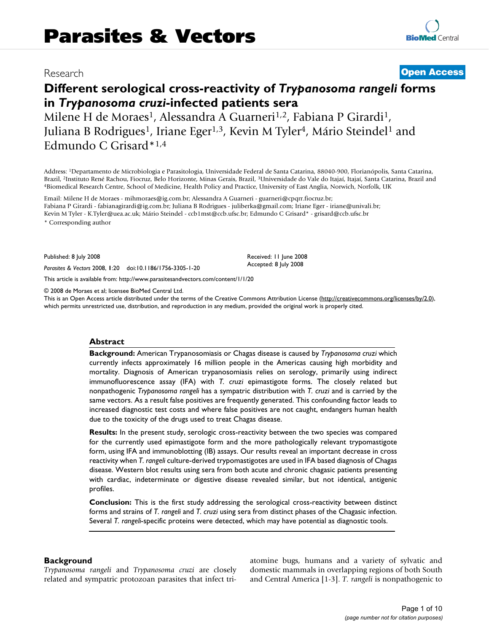# Research **[Open Access](http://www.biomedcentral.com/info/about/charter/)**

# **Different serological cross-reactivity of** *Trypanosoma rangeli* **forms in** *Trypanosoma cruzi***-infected patients sera**

Milene H de Moraes<sup>1</sup>, Alessandra A Guarneri<sup>1,2</sup>, Fabiana P Girardi<sup>1</sup>, Juliana B Rodrigues<sup>1</sup>, Iriane Eger<sup>1,3</sup>, Kevin M Tyler<sup>4</sup>, Mário Steindel<sup>1</sup> and Edmundo C Grisard\*1,4

Address: 1Departamento de Microbiologia e Parasitologia, Universidade Federal de Santa Catarina, 88040-900, Florianópolis, Santa Catarina, Brazil, <sup>2</sup>Instituto René Rachou, Fiocruz, Belo Horizonte, Minas Gerais, Brazil, <sup>3</sup>Universidade do Vale do Itajaí, Itajaí, Santa Catarina, Brazil and 4Biomedical Research Centre, School of Medicine, Health Policy and Prac

Email: Milene H de Moraes - mihmoraes@ig.com.br; Alessandra A Guarneri - guarneri@cpqrr.fiocruz.br; Fabiana P Girardi - fabianagirardi@ig.com.br; Juliana B Rodrigues - juliberka@gmail.com; Iriane Eger - iriane@univali.br; Kevin M Tyler - K.Tyler@uea.ac.uk; Mário Steindel - ccb1mst@ccb.ufsc.br; Edmundo C Grisard\* - grisard@ccb.ufsc.br

\* Corresponding author

Published: 8 July 2008

*Parasites & Vectors* 2008, **1**:20 doi:10.1186/1756-3305-1-20

[This article is available from: http://www.parasitesandvectors.com/content/1/1/20](http://www.parasitesandvectors.com/content/1/1/20)

© 2008 de Moraes et al; licensee BioMed Central Ltd.

This is an Open Access article distributed under the terms of the Creative Commons Attribution License [\(http://creativecommons.org/licenses/by/2.0\)](http://creativecommons.org/licenses/by/2.0), which permits unrestricted use, distribution, and reproduction in any medium, provided the original work is properly cited.

Received: 11 June 2008 Accepted: 8 July 2008

#### **Abstract**

**Background:** American Trypanosomiasis or Chagas disease is caused by *Trypanosoma cruzi* which currently infects approximately 16 million people in the Americas causing high morbidity and mortality. Diagnosis of American trypanosomiasis relies on serology, primarily using indirect immunofluorescence assay (IFA) with *T. cruzi* epimastigote forms. The closely related but nonpathogenic *Trypanosoma rangeli* has a sympatric distribution with *T. cruzi* and is carried by the same vectors. As a result false positives are frequently generated. This confounding factor leads to increased diagnostic test costs and where false positives are not caught, endangers human health due to the toxicity of the drugs used to treat Chagas disease.

**Results:** In the present study, serologic cross-reactivity between the two species was compared for the currently used epimastigote form and the more pathologically relevant trypomastigote form, using IFA and immunoblotting (IB) assays. Our results reveal an important decrease in cross reactivity when *T. rangeli* culture-derived trypomastigotes are used in IFA based diagnosis of Chagas disease. Western blot results using sera from both acute and chronic chagasic patients presenting with cardiac, indeterminate or digestive disease revealed similar, but not identical, antigenic profiles.

**Conclusion:** This is the first study addressing the serological cross-reactivity between distinct forms and strains of *T. rangeli* and *T. cruzi* using sera from distinct phases of the Chagasic infection. Several *T. rangeli*-specific proteins were detected, which may have potential as diagnostic tools.

#### **Background**

*Trypanosoma rangeli* and *Trypanosoma cruzi* are closely related and sympatric protozoan parasites that infect triatomine bugs, humans and a variety of sylvatic and domestic mammals in overlapping regions of both South and Central America [1-3]. *T. rangeli* is nonpathogenic to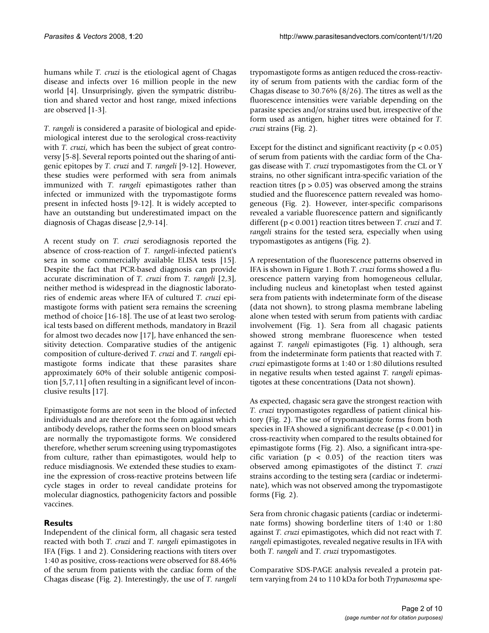humans while *T. cruzi* is the etiological agent of Chagas disease and infects over 16 million people in the new world [4]. Unsurprisingly, given the sympatric distribution and shared vector and host range, mixed infections are observed [1-3].

*T. rangeli* is considered a parasite of biological and epidemiological interest due to the serological cross-reactivity with *T. cruzi*, which has been the subject of great controversy [5-8]. Several reports pointed out the sharing of antigenic epitopes by *T. cruzi* and *T. rangeli* [9-12]. However, these studies were performed with sera from animals immunized with *T. rangeli* epimastigotes rather than infected or immunized with the trypomastigote forms present in infected hosts [9-12]. It is widely accepted to have an outstanding but underestimated impact on the diagnosis of Chagas disease [2,9[-14](#page-8-0)].

A recent study on *T. cruzi* serodiagnosis reported the absence of cross-reaction of *T. rangeli-*infected patient's sera in some commercially available ELISA tests [15]. Despite the fact that PCR-based diagnosis can provide accurate discrimination of *T. cruzi* from *T. rangeli* [2,3], neither method is widespread in the diagnostic laboratories of endemic areas where IFA of cultured *T. cruzi* epimastigote forms with patient sera remains the screening method of choice [16-18]. The use of at least two serological tests based on different methods, mandatory in Brazil for almost two decades now [17], have enhanced the sensitivity detection. Comparative studies of the antigenic composition of culture-derived *T. cruzi* and *T. rangeli* epimastigote forms indicate that these parasites share approximately 60% of their soluble antigenic composition [5,7,[11\]](#page-8-1) often resulting in a significant level of inconclusive results [17].

Epimastigote forms are not seen in the blood of infected individuals and are therefore not the form against which antibody develops, rather the forms seen on blood smears are normally the trypomastigote forms. We considered therefore, whether serum screening using trypomastigotes from culture, rather than epimastigotes, would help to reduce misdiagnosis. We extended these studies to examine the expression of cross-reactive proteins between life cycle stages in order to reveal candidate proteins for molecular diagnostics, pathogenicity factors and possible vaccines.

# **Results**

Independent of the clinical form, all chagasic sera tested reacted with both *T. cruzi* and *T. rangeli* epimastigotes in IFA (Figs. 1 and 2). Considering reactions with titers over 1:40 as positive, cross-reactions were observed for 88.46% of the serum from patients with the cardiac form of the Chagas disease (Fig. 2). Interestingly, the use of *T. rangeli* trypomastigote forms as antigen reduced the cross-reactivity of serum from patients with the cardiac form of the Chagas disease to 30.76% (8/26). The titres as well as the fluorescence intensities were variable depending on the parasite species and/or strains used but, irrespective of the form used as antigen, higher titres were obtained for *T. cruzi* strains (Fig. 2).

Except for the distinct and significant reactivity ( $p < 0.05$ ) of serum from patients with the cardiac form of the Chagas disease with *T. cruzi* trypomastigotes from the CL or Y strains, no other significant intra-specific variation of the reaction titres ( $p > 0.05$ ) was observed among the strains studied and the fluorescence pattern revealed was homogeneous (Fig. 2). However, inter-specific comparisons revealed a variable fluorescence pattern and significantly different (p < 0.001) reaction titres between *T. cruzi* and *T. rangeli* strains for the tested sera, especially when using trypomastigotes as antigens (Fig. 2).

A representation of the fluorescence patterns observed in IFA is shown in Figure 1. Both *T. cruzi* forms showed a fluorescence pattern varying from homogeneous cellular, including nucleus and kinetoplast when tested against sera from patients with indeterminate form of the disease (data not shown), to strong plasma membrane labeling alone when tested with serum from patients with cardiac involvement (Fig. 1). Sera from all chagasic patients showed strong membrane fluorescence when tested against *T. rangeli* epimastigotes (Fig. 1) although, sera from the indeterminate form patients that reacted with *T. cruzi* epimastigote forms at 1:40 or 1:80 dilutions resulted in negative results when tested against *T. rangeli* epimastigotes at these concentrations (Data not shown).

As expected, chagasic sera gave the strongest reaction with *T. cruzi* trypomastigotes regardless of patient clinical history (Fig. 2). The use of trypomastigote forms from both species in IFA showed a significant decrease ( $p < 0.001$ ) in cross-reactivity when compared to the results obtained for epimastigote forms (Fig. 2). Also, a significant intra-specific variation ( $p < 0.05$ ) of the reaction titers was observed among epimastigotes of the distinct *T. cruzi* strains according to the testing sera (cardiac or indeterminate), which was not observed among the trypomastigote forms (Fig. 2).

Sera from chronic chagasic patients (cardiac or indeterminate forms) showing borderline titers of 1:40 or 1:80 against *T. cruzi* epimastigotes, which did not react with *T. rangeli* epimastigotes, revealed negative results in IFA with both *T. rangeli* and *T. cruzi* trypomastigotes.

Comparative SDS-PAGE analysis revealed a protein pattern varying from 24 to 110 kDa for both *Trypanosoma* spe-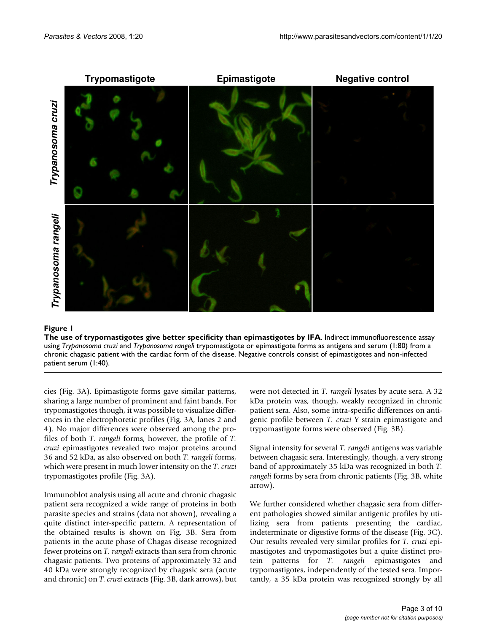

# Figure 1

**The use of trypomastigotes give better specificity than epimastigotes by IFA**. Indirect immunofluorescence assay using *Trypanosoma cruzi* and *Trypanosoma rangeli* trypomastigote or epimastigote forms as antigens and serum (1:80) from a chronic chagasic patient with the cardiac form of the disease. Negative controls consist of epimastigotes and non-infected

cies (Fig. 3A). Epimastigote forms gave similar patterns, sharing a large number of prominent and faint bands. For trypomastigotes though, it was possible to visualize differences in the electrophoretic profiles (Fig. 3A, lanes 2 and 4). No major differences were observed among the profiles of both *T. rangeli* forms, however, the profile of *T. cruzi* epimastigotes revealed two major proteins around 36 and 52 kDa, as also observed on both *T. rangeli* forms, which were present in much lower intensity on the *T. cruzi* trypomastigotes profile (Fig. 3A).

Immunoblot analysis using all acute and chronic chagasic patient sera recognized a wide range of proteins in both parasite species and strains (data not shown), revealing a quite distinct inter-specific pattern. A representation of the obtained results is shown on Fig. 3B. Sera from patients in the acute phase of Chagas disease recognized fewer proteins on *T. rangeli* extracts than sera from chronic chagasic patients. Two proteins of approximately 32 and 40 kDa were strongly recognized by chagasic sera (acute and chronic) on *T. cruzi* extracts (Fig. 3B, dark arrows), but were not detected in *T. rangeli* lysates by acute sera. A 32 kDa protein was, though, weakly recognized in chronic patient sera. Also, some intra-specific differences on antigenic profile between *T. cruzi* Y strain epimastigote and trypomastigote forms were observed (Fig. 3B).

Signal intensity for several *T. rangeli* antigens was variable between chagasic sera. Interestingly, though, a very strong band of approximately 35 kDa was recognized in both *T. rangeli* forms by sera from chronic patients (Fig. 3B, white arrow).

We further considered whether chagasic sera from different pathologies showed similar antigenic profiles by utilizing sera from patients presenting the cardiac, indeterminate or digestive forms of the disease (Fig. 3C). Our results revealed very similar profiles for *T. cruzi* epimastigotes and trypomastigotes but a quite distinct protein patterns for *T. rangeli* epimastigotes and trypomastigotes, independently of the tested sera. Importantly, a 35 kDa protein was recognized strongly by all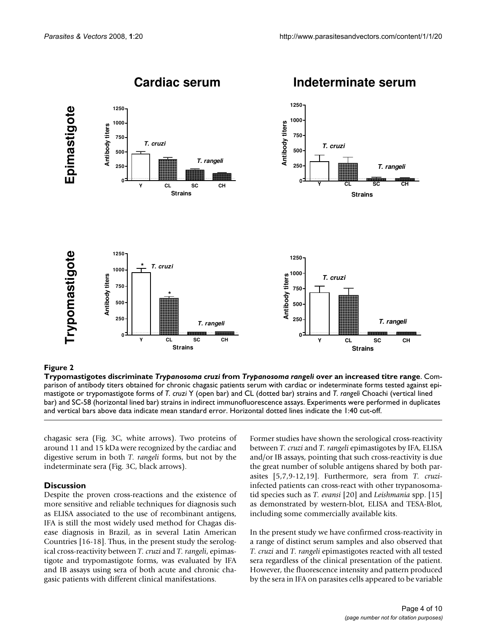

# Trypomastigotes discriminate **Figure 2** *Trypanosoma cruzi* from *Trypanosoma rangeli* over an increased titre range

**Trypomastigotes discriminate** *Trypanosoma cruzi* **from** *Trypanosoma rangeli* **over an increased titre range**. Comparison of antibody titers obtained for chronic chagasic patients serum with cardiac or indeterminate forms tested against epimastigote or trypomastigote forms of *T. cruzi* Y (open bar) and CL (dotted bar) strains and *T. rangeli* Choachi (vertical lined bar) and SC-58 (horizontal lined bar) strains in indirect immunofluorescence assays. Experiments were performed in duplicates and vertical bars above data indicate mean standard error. Horizontal dotted lines indicate the 1:40 cut-off.

chagasic sera (Fig. 3C, white arrows). Two proteins of around 11 and 15 kDa were recognized by the cardiac and digestive serum in both *T. rangeli* forms, but not by the indeterminate sera (Fig. 3C, black arrows).

# **Discussion**

Despite the proven cross-reactions and the existence of more sensitive and reliable techniques for diagnosis such as ELISA associated to the use of recombinant antigens, IFA is still the most widely used method for Chagas disease diagnosis in Brazil, as in several Latin American Countries [16-18]. Thus, in the present study the serological cross-reactivity between *T. cruzi* and *T. rangeli*, epimastigote and trypomastigote forms, was evaluated by IFA and IB assays using sera of both acute and chronic chagasic patients with different clinical manifestations.

Former studies have shown the serological cross-reactivity between *T. cruzi* and *T. rangeli* epimastigotes by IFA, ELISA and/or IB assays, pointing that such cross-reactivity is due the great number of soluble antigens shared by both parasites [5,7,9-12,19]. Furthermore, sera from *T. cruzi*infected patients can cross-react with other trypanosomatid species such as *T. evansi* [20] and *Leishmania* spp. [15] as demonstrated by western-blot, ELISA and TESA-Blot, including some commercially available kits.

In the present study we have confirmed cross-reactivity in a range of distinct serum samples and also observed that *T. cruzi* and *T. rangeli* epimastigotes reacted with all tested sera regardless of the clinical presentation of the patient. However, the fluorescence intensity and pattern produced by the sera in IFA on parasites cells appeared to be variable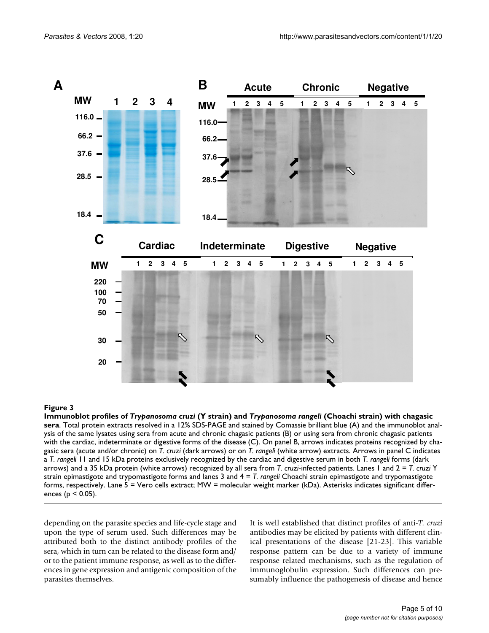

# **Figure 3** Immunoblot profiles of *Trypanosoma cruzi* (Y strain) and *Trypanosoma rangeli* (Choachi strain) with chagasic sera

**Immunoblot profiles of** *Trypanosoma cruzi* **(Y strain) and** *Trypanosoma rangeli* **(Choachi strain) with chagasic sera**. Total protein extracts resolved in a 12% SDS-PAGE and stained by Comassie brilliant blue (A) and the immunoblot analysis of the same lysates using sera from acute and chronic chagasic patients (B) or using sera from chronic chagasic patients with the cardiac, indeterminate or digestive forms of the disease (C). On panel B, arrows indicates proteins recognized by chagasic sera (acute and/or chronic) on *T. cruzi* (dark arrows) or on *T. rangeli* (white arrow) extracts. Arrows in panel C indicates a *T. rangeli* 11 and 15 kDa proteins exclusively recognized by the cardiac and digestive serum in both *T. rangeli* forms (dark arrows) and a 35 kDa protein (white arrows) recognized by all sera from *T. cruzi*-infected patients. Lanes 1 and 2 = *T. cruzi* Y strain epimastigote and trypomastigote forms and lanes 3 and 4 = *T. rangeli* Choachi strain epimastigote and trypomastigote forms, respectively. Lane 5 = Vero cells extract; MW = molecular weight marker (kDa). Asterisks indicates significant differences ( $p < 0.05$ ).

depending on the parasite species and life-cycle stage and upon the type of serum used. Such differences may be attributed both to the distinct antibody profiles of the sera, which in turn can be related to the disease form and/ or to the patient immune response, as well as to the differences in gene expression and antigenic composition of the parasites themselves.

It is well established that distinct profiles of anti-*T. cruzi* antibodies may be elicited by patients with different clinical presentations of the disease [21-23]. This variable response pattern can be due to a variety of immune response related mechanisms, such as the regulation of immunoglobulin expression. Such differences can presumably influence the pathogenesis of disease and hence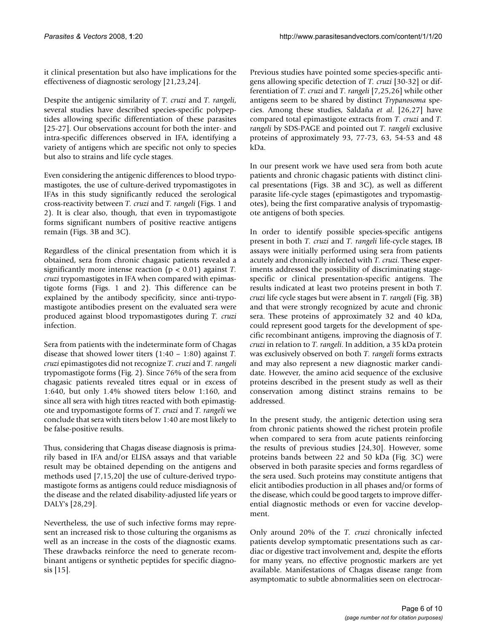it clinical presentation but also have implications for the effectiveness of diagnostic serology [21,23,24].

Despite the antigenic similarity of *T. cruzi* and *T. rangeli*, several studies have described species-specific polypeptides allowing specific differentiation of these parasites [[25](#page-8-2)-27]. Our observations account for both the inter- and intra-specific differences observed in IFA, identifying a variety of antigens which are specific not only to species but also to strains and life cycle stages.

Even considering the antigenic differences to blood trypomastigotes, the use of culture-derived trypomastigotes in IFAs in this study significantly reduced the serological cross-reactivity between *T. cruzi* and *T. rangeli* (Figs. 1 and 2). It is clear also, though, that even in trypomastigote forms significant numbers of positive reactive antigens remain (Figs. 3B and 3C).

Regardless of the clinical presentation from which it is obtained, sera from chronic chagasic patients revealed a significantly more intense reaction (p < 0.01) against *T. cruzi* trypomastigotes in IFA when compared with epimastigote forms (Figs. 1 and 2). This difference can be explained by the antibody specificity, since anti-trypomastigote antibodies present on the evaluated sera were produced against blood trypomastigotes during *T. cruzi* infection.

Sera from patients with the indeterminate form of Chagas disease that showed lower titers (1:40 – 1:80) against *T. cruzi* epimastigotes did not recognize *T. cruzi* and *T. rangeli* trypomastigote forms (Fig. 2). Since 76% of the sera from chagasic patients revealed titres equal or in excess of 1:640, but only 1.4% showed titers below 1:160, and since all sera with high titres reacted with both epimastigote and trypomastigote forms of *T. cruzi* and *T. rangeli* we conclude that sera with titers below 1:40 are most likely to be false-positive results.

Thus, considering that Chagas disease diagnosis is primarily based in IFA and/or ELISA assays and that variable result may be obtained depending on the antigens and methods used [7,15,20] the use of culture-derived trypomastigote forms as antigens could reduce misdiagnosis of the disease and the related disability-adjusted life years or DALY's [28,29].

Nevertheless, the use of such infective forms may represent an increased risk to those culturing the organisms as well as an increase in the costs of the diagnostic exams. These drawbacks reinforce the need to generate recombinant antigens or synthetic peptides for specific diagnosis [15].

Previous studies have pointed some species-specific antigens allowing specific detection of *T. cruzi* [30-32] or differentiation of *T. cruzi* and *T. rangeli* [7[,25](#page-8-2),26] while other antigens seem to be shared by distinct *Trypanosoma* species. Among these studies, Saldaña *et al*. [26,27] have compared total epimastigote extracts from *T. cruzi* and *T. rangeli* by SDS-PAGE and pointed out *T. rangeli* exclusive proteins of approximately 93, 77-73, 63, 54-53 and 48 kDa.

In our present work we have used sera from both acute patients and chronic chagasic patients with distinct clinical presentations (Figs. 3B and 3C), as well as different parasite life-cycle stages (epimastigotes and trypomastigotes), being the first comparative analysis of trypomastigote antigens of both species.

In order to identify possible species-specific antigens present in both *T. cruzi* and *T. rangeli* life-cycle stages, IB assays were initially performed using sera from patients acutely and chronically infected with *T. cruzi*. These experiments addressed the possibility of discriminating stagespecific or clinical presentation-specific antigens. The results indicated at least two proteins present in both *T. cruzi* life cycle stages but were absent in *T. rangeli* (Fig. 3B) and that were strongly recognized by acute and chronic sera. These proteins of approximately 32 and 40 kDa, could represent good targets for the development of specific recombinant antigens, improving the diagnosis of *T. cruzi* in relation to *T. rangeli*. In addition, a 35 kDa protein was exclusively observed on both *T. rangeli* forms extracts and may also represent a new diagnostic marker candidate. However, the amino acid sequence of the exclusive proteins described in the present study as well as their conservation among distinct strains remains to be addressed.

In the present study, the antigenic detection using sera from chronic patients showed the richest protein profile when compared to sera from acute patients reinforcing the results of previous studies [24,30]. However, some proteins bands between 22 and 50 kDa (Fig. 3C) were observed in both parasite species and forms regardless of the sera used. Such proteins may constitute antigens that elicit antibodies production in all phases and/or forms of the disease, which could be good targets to improve differential diagnostic methods or even for vaccine development.

Only around 20% of the *T. cruzi* chronically infected patients develop symptomatic presentations such as cardiac or digestive tract involvement and, despite the efforts for many years, no effective prognostic markers are yet available. Manifestations of Chagas disease range from asymptomatic to subtle abnormalities seen on electrocar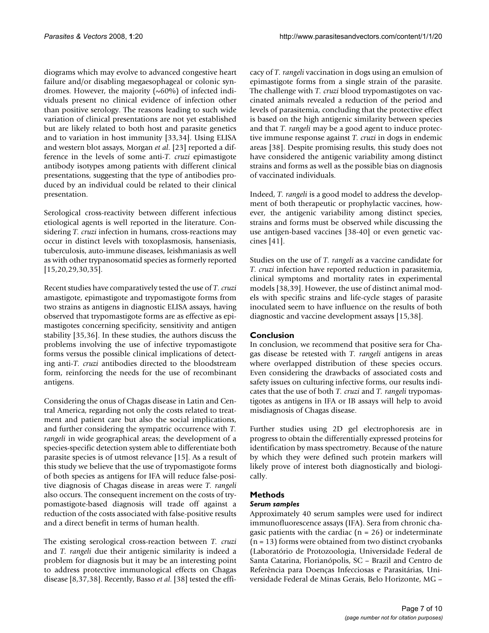diograms which may evolve to advanced congestive heart failure and/or disabling megaesophageal or colonic syndromes. However, the majority  $(\sim 60\%)$  of infected individuals present no clinical evidence of infection other than positive serology. The reasons leading to such wide variation of clinical presentations are not yet established but are likely related to both host and parasite genetics and to variation in host immunity [33,34]. Using ELISA and western blot assays, Morgan *et al*. [23] reported a difference in the levels of some anti-*T. cruzi* epimastigote antibody isotypes among patients with different clinical presentations, suggesting that the type of antibodies produced by an individual could be related to their clinical presentation.

Serological cross-reactivity between different infectious etiological agents is well reported in the literature. Considering *T. cruzi* infection in humans, cross-reactions may occur in distinct levels with toxoplasmosis, hanseniasis, tuberculosis, auto-immune diseases, leishmaniasis as well as with other trypanosomatid species as formerly reported [15,20,29,30,35].

Recent studies have comparatively tested the use of *T. cruzi* amastigote, epimastigote and trypomastigote forms from two strains as antigens in diagnostic ELISA assays, having observed that trypomastigote forms are as effective as epimastigotes concerning specificity, sensitivity and antigen stability [35,36]. In these studies, the authors discuss the problems involving the use of infective trypomastigote forms versus the possible clinical implications of detecting anti-*T. cruzi* antibodies directed to the bloodstream form, reinforcing the needs for the use of recombinant antigens.

Considering the onus of Chagas disease in Latin and Central America, regarding not only the costs related to treatment and patient care but also the social implications, and further considering the sympatric occurrence with *T. rangeli* in wide geographical areas; the development of a species-specific detection system able to differentiate both parasite species is of utmost relevance [15]. As a result of this study we believe that the use of trypomastigote forms of both species as antigens for IFA will reduce false-positive diagnosis of Chagas disease in areas were *T. rangeli* also occurs. The consequent increment on the costs of trypomastigote-based diagnosis will trade off against a reduction of the costs associated with false-positive results and a direct benefit in terms of human health.

The existing serological cross-reaction between *T. cruzi* and *T. rangeli* due their antigenic similarity is indeed a problem for diagnosis but it may be an interesting point to address protective immunological effects on Chagas disease [8,37,38]. Recently, Basso *et al*. [38] tested the efficacy of *T. rangeli* vaccination in dogs using an emulsion of epimastigote forms from a single strain of the parasite. The challenge with *T. cruzi* blood trypomastigotes on vaccinated animals revealed a reduction of the period and levels of parasitemia, concluding that the protective effect is based on the high antigenic similarity between species and that *T. rangeli* may be a good agent to induce protective immune response against *T. cruzi* in dogs in endemic areas [38]. Despite promising results, this study does not have considered the antigenic variability among distinct strains and forms as well as the possible bias on diagnosis of vaccinated individuals.

Indeed, *T. rangeli* is a good model to address the development of both therapeutic or prophylactic vaccines, however, the antigenic variability among distinct species, strains and forms must be observed while discussing the use antigen-based vaccines [38[-40](#page-9-0)] or even genetic vaccines [41].

Studies on the use of *T. rangeli* as a vaccine candidate for *T. cruzi* infection have reported reduction in parasitemia, clinical symptoms and mortality rates in experimental models [38,39]. However, the use of distinct animal models with specific strains and life-cycle stages of parasite inoculated seem to have influence on the results of both diagnostic and vaccine development assays [15,38].

# **Conclusion**

In conclusion, we recommend that positive sera for Chagas disease be retested with *T. rangeli* antigens in areas where overlapped distribution of these species occurs. Even considering the drawbacks of associated costs and safety issues on culturing infective forms, our results indicates that the use of both *T. cruzi* and *T. rangeli* trypomastigotes as antigens in IFA or IB assays will help to avoid misdiagnosis of Chagas disease.

Further studies using 2D gel electrophoresis are in progress to obtain the differentially expressed proteins for identification by mass spectrometry. Because of the nature by which they were defined such protein markers will likely prove of interest both diagnostically and biologically.

# **Methods**

# *Serum samples*

Approximately 40 serum samples were used for indirect immunofluorescence assays (IFA). Sera from chronic chagasic patients with the cardiac  $(n = 26)$  or indeterminate  $(n = 13)$  forms were obtained from two distinct cryobanks (Laboratório de Protozoologia, Universidade Federal de Santa Catarina, Florianópolis, SC – Brazil and Centro de Referência para Doenças Infecciosas e Parasitárias, Universidade Federal de Minas Gerais, Belo Horizonte, MG –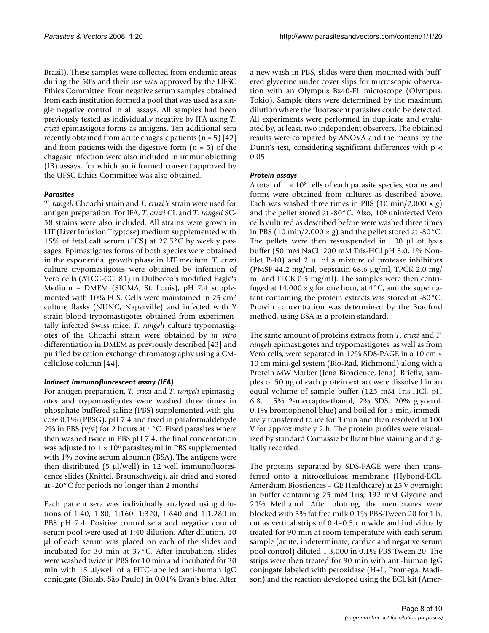Brazil). These samples were collected from endemic areas during the 50's and their use was approved by the UFSC Ethics Committee. Four negative serum samples obtained from each institution formed a pool that was used as a single negative control in all assays. All samples had been previously tested as individually negative by IFA using *T. cruzi* epimastigote forms as antigens. Ten additional sera recently obtained from acute chagasic patients  $(n = 5)$  [42] and from patients with the digestive form  $(n = 5)$  of the chagasic infection were also included in immunoblotting (IB) assays, for which an informed consent approved by the UFSC Ethics Committee was also obtained.

# *Parasites*

*T. rangeli* Choachi strain and *T. cruzi* Y strain were used for antigen preparation. For IFA, *T. cruzi* CL and *T. rangeli* SC-58 strains were also included. All strains were grown in LIT (Liver Infusion Tryptose) medium supplemented with 15% of fetal calf serum (FCS) at 27.5°C by weekly passages. Epimastigotes forms of both species were obtained in the exponential growth phase in LIT medium. *T. cruzi* culture trypomastigotes were obtained by infection of Vero cells (ATCC-CCL81) in Dulbecco's modified Eagle's Medium – DMEM (SIGMA, St. Louis), pH 7.4 supplemented with 10% FCS. Cells were maintained in 25 cm2 culture flasks (NUNC, Naperville) and infected with Y strain blood trypomastigotes obtained from experimentally infected Swiss mice. *T. rangeli* culture trypomastigotes of the Choachi strain were obtained by *in vitro* differentiation in DMEM as previously described [43] and purified by cation exchange chromatography using a CMcellulose column [\[44\]](#page-9-1).

# *Indirect Immunofluorescent assay (IFA)*

For antigen preparation, *T. cruzi* and *T. rangeli* epimastigotes and trypomastigotes were washed three times in phosphate-buffered saline (PBS) supplemented with glucose 0.1% (PBSG), pH 7.4 and fixed in paraformaldehyde 2% in PBS (v/v) for 2 hours at  $4^{\circ}$ C. Fixed parasites where then washed twice in PBS pH 7.4, the final concentration was adjusted to  $1 \times 10^6$  parasites/ml in PBS supplemented with 1% bovine serum albumin (BSA). The antigens were then distributed (5 μl/well) in 12 well immunofluorescence slides (Knittel, Braunschweig), air dried and stored at -20°C for periods no longer than 2 months.

Each patient sera was individually analyzed using dilutions of 1:40, 1:80, 1:160, 1:320, 1:640 and 1:1,280 in PBS pH 7.4. Positive control sera and negative control serum pool were used at 1:40 dilution. After dilution, 10 μl of each serum was placed on each of the slides and incubated for 30 min at 37°C. After incubation, slides were washed twice in PBS for 10 min and incubated for 30 min with 15 μl/well of a FITC-labelled anti-human IgG conjugate (Biolab, São Paulo) in 0.01% Evan's blue. After

a new wash in PBS, slides were then mounted with buffered glycerine under cover slips for microscopic observation with an Olympus Bx40-FL microscope (Olympus, Tokio). Sample titers were determined by the maximum dilution where the fluorescent parasites could be detected. All experiments were performed in duplicate and evaluated by, at least, two independent observers. The obtained results were compared by ANOVA and the means by the Dunn's test, considering significant differences with p < 0.05.

# *Protein assays*

A total of  $1 \times 10^8$  cells of each parasite species, strains and forms were obtained from cultures as described above. Each was washed three times in PBS  $(10 \text{ min}/2,000 \times g)$ and the pellet stored at -80°C. Also, 108 uninfected Vero cells cultured as described before were washed three times in PBS (10 min/2,000  $\times$  *g*) and the pellet stored at -80 $^{\circ}$ C. The pellets were then ressuspended in 100 μl of lysis buffer (50 mM NaCl, 200 mM Tris-HCl pH 8.0, 1% Nonidet P-40) and 2 μl of a mixture of protease inhibitors (PMSF 44.2 mg/ml, pepstatin 68.6 μg/ml, TPCK 2.0 mg/ ml and TLCK 0.5 mg/ml). The samples were then centrifuged at  $14.000 \times g$  for one hour, at  $4^{\circ}$ C, and the supernatant containing the protein extracts was stored at -80°C. Protein concentration was determined by the Bradford method, using BSA as a protein standard.

The same amount of proteins extracts from *T. cruzi* and *T. rangeli* epimastigotes and trypomastigotes, as well as from Vero cells, were separated in 12% SDS-PAGE in a 10 cm × 10 cm mini-gel system (Bio-Rad, Richmond) along with a Protein MW Marker (Jena Bioscience, Jena). Briefly, samples of 50 μg of each protein extract were dissolved in an equal volume of sample buffer (125 mM Tris-HCl, pH 6.8, 1.5% 2-mercaptoethanol, 2% SDS, 20% glycerol, 0.1% bromophenol blue) and boiled for 3 min, immediately transferred to ice for 3 min and then resolved at 100 V for approximately 2 h. The protein profiles were visualized by standard Comassie brilliant blue staining and digitally recorded.

The proteins separated by SDS-PAGE were then transferred onto a nitrocellulose membrane (Hybond-ECL, Amersham Biosciences – GE Healthcare) at 25 V overnight in buffer containing 25 mM Tris; 192 mM Glycine and 20% Methanol. After blotting, the membranes were blocked with 5% fat free milk 0.1% PBS-Tween 20 for 1 h, cut as vertical strips of 0.4–0.5 cm wide and individually treated for 90 min at room temperature with each serum sample (acute, indeterminate, cardiac and negative serum pool control) diluted 1:3,000 in 0.1% PBS-Tween 20. The strips were then treated for 90 min with anti-human IgG conjugate labeled with peroxidase (H+L, Promega, Madison) and the reaction developed using the ECL kit (Amer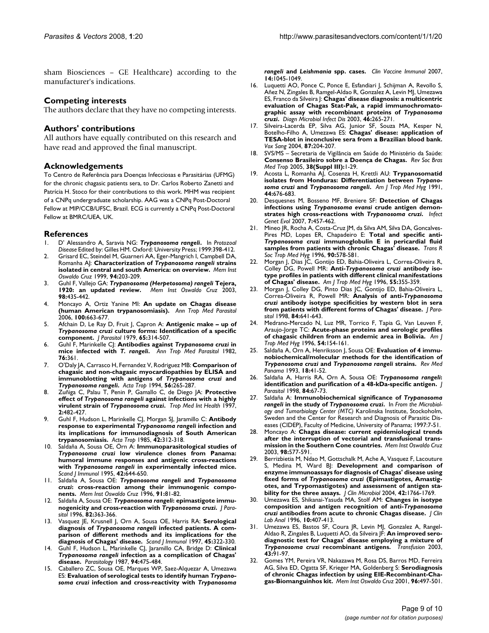sham Biosciences – GE Healthcare) according to the manufacturer's indications.

#### **Competing interests**

The authors declare that they have no competing interests.

#### **Authors' contributions**

All authors have equally contributed on this research and have read and approved the final manuscript.

#### **Acknowledgements**

To Centro de Referência para Doenças Infecciosas e Parasitárias (UFMG) for the chronic chagasic patients sera, to Dr. Carlos Roberto Zanetti and Patrícia H. Stoco for their contributions to this work. MHM was recipient of a CNPq undergraduate scholarship. AAG was a CNPq Post-Doctoral Fellow at MIP/CCB/UFSC, Brazil. ECG is currently a CNPq Post-Doctoral Fellow at BMRC/UEA, UK.

#### **References**

- 1. D' Alessandro A, Saravia NG: *Trypanosoma rangeli***.** In *Protozoal Disease* Edited by: Gilles HM. Oxford: University Press; 1999:398-412.
- 2. Grisard EC, Steindel M, Guarneri AA, Eger-Mangrich I, Campbell DA, Romanha AJ: **Characterization of** *Trypanosoma rangeli* **[strains](http://www.ncbi.nlm.nih.gov/entrez/query.fcgi?cmd=Retrieve&db=PubMed&dopt=Abstract&list_uids=10224529) [isolated in central and south America: on overview.](http://www.ncbi.nlm.nih.gov/entrez/query.fcgi?cmd=Retrieve&db=PubMed&dopt=Abstract&list_uids=10224529)** *Mem Inst Oswaldo Cruz* 1999, **94:**203-209.
- 3. Guhl F, Vallejo GA: *Trypanosoma (Herpetosoma) rangeli* **[Tejera,](http://www.ncbi.nlm.nih.gov/entrez/query.fcgi?cmd=Retrieve&db=PubMed&dopt=Abstract&list_uids=12937750) [1920: an updated review.](http://www.ncbi.nlm.nih.gov/entrez/query.fcgi?cmd=Retrieve&db=PubMed&dopt=Abstract&list_uids=12937750)** *Mem Inst Oswaldo Cruz* 2003, **98:**435-442.
- 4. Moncayo A, Ortiz Yanine MI: **[An update on Chagas disease](http://www.ncbi.nlm.nih.gov/entrez/query.fcgi?cmd=Retrieve&db=PubMed&dopt=Abstract&list_uids=17227647) [\(human American trypanosomiasis\).](http://www.ncbi.nlm.nih.gov/entrez/query.fcgi?cmd=Retrieve&db=PubMed&dopt=Abstract&list_uids=17227647)** *Ann Trop Med Parasitol* 2006, **100:**663-677.
- 5. Afchain D, Le Ray D, Fruit J, Capron A: **Antigenic make up of** *Trypanosoma cruzi* **[culture forms: Identification of a specific](http://www.ncbi.nlm.nih.gov/entrez/query.fcgi?cmd=Retrieve&db=PubMed&dopt=Abstract&list_uids=376821) [component.](http://www.ncbi.nlm.nih.gov/entrez/query.fcgi?cmd=Retrieve&db=PubMed&dopt=Abstract&list_uids=376821)** *J Parasitol* 1979, **65:**314-507.
- 6. Guhl F, Marinkelle CJ: **Antibodies against** *Trypanosoma cruzi* **in mice infected with** *T. rangeli***[.](http://www.ncbi.nlm.nih.gov/entrez/query.fcgi?cmd=Retrieve&db=PubMed&dopt=Abstract&list_uids=6812517)** *Ann Trop Med Parasitol* 1982, **76:**361.
- 7. O'Daly JA, Carrasco H, Fernandez V, Rodriguez MB: **Comparison of chagasic and non-chagasic myocardiopathies by ELISA and immunoblotting with antigens of** *Trypanosoma cruzi* **and** *Trypanosoma rangeli***[.](http://www.ncbi.nlm.nih.gov/entrez/query.fcgi?cmd=Retrieve&db=PubMed&dopt=Abstract&list_uids=8023751)** *Acta Trop* 1994, **56:**265-287.
- 8. Zuñiga C, Palau T, Penin P, Gamallo C, de Diego JA: **Protective effect of** *Trypanosoma rangeli* **against infections with a highly virulent strain of** *Trypanosoma cruzi***[.](http://www.ncbi.nlm.nih.gov/entrez/query.fcgi?cmd=Retrieve&db=PubMed&dopt=Abstract&list_uids=9217704)** *Trop Med Int Health* 1997, **2:**482-427.
- 9. Guhl F, Hudson L, Marinkelle CJ, Morgan SJ, Jaramillo C: **Antibody response to experimental** *Trypanosoma rangeli* **infection and its implications for immunodiagnosis of South American trypanosomiasis.** *Acta Trop* 1985, **42:**312-318.
- 10. Saldaña A, Sousa OE, Örn A: **Immunoparasitological studies of** *Trypanosoma cruzi* **low virulence clones from Panama: humoral immune responses and antigenic cross-reactions with** *Trypanosoma rangeli* **[in experimentally infected mice.](http://www.ncbi.nlm.nih.gov/entrez/query.fcgi?cmd=Retrieve&db=PubMed&dopt=Abstract&list_uids=8552988)** *Scand J Immunol* 1995, **42:**644-650.
- <span id="page-8-1"></span>11. Saldaña A, Sousa OE: *Trypanosoma rangeli* **and** *Trypanosoma cruzi***[: cross-reaction among their immunogenic compo](http://www.ncbi.nlm.nih.gov/entrez/query.fcgi?cmd=Retrieve&db=PubMed&dopt=Abstract&list_uids=8734953)[nents.](http://www.ncbi.nlm.nih.gov/entrez/query.fcgi?cmd=Retrieve&db=PubMed&dopt=Abstract&list_uids=8734953)** *Mem Inst Oswaldo Cruz* 1996, **91:**81-82.
- 12. Saldaña A, Sousa OE: *Trypanosoma rangeli***: epimastigote immunogenicity and cross-reaction with** *Trypanosoma cruzi***[.](http://www.ncbi.nlm.nih.gov/entrez/query.fcgi?cmd=Retrieve&db=PubMed&dopt=Abstract&list_uids=8604121)** *J Parasitol* 1996, **82:**363-366.
- 13. Vasquez JE, Krusnell J, Orn A, Sousa OE, Harris RA: **Serological diagnosis of** *Trypanosoma rangeli* **[infected patients. A com](http://www.ncbi.nlm.nih.gov/entrez/query.fcgi?cmd=Retrieve&db=PubMed&dopt=Abstract&list_uids=9122624)[parison of different methods and its implications for the](http://www.ncbi.nlm.nih.gov/entrez/query.fcgi?cmd=Retrieve&db=PubMed&dopt=Abstract&list_uids=9122624) [diagnosis of Chagas' disease.](http://www.ncbi.nlm.nih.gov/entrez/query.fcgi?cmd=Retrieve&db=PubMed&dopt=Abstract&list_uids=9122624)** *Scand J Immunol* 1997, **45:**322-330.
- <span id="page-8-0"></span>14. Guhl F, Hudson L, Marinkelle CJ, Jaramillo CA, Bridge D: **Clinical** *Trypanosoma rangeli* **[infection as a complication of Chagas'](http://www.ncbi.nlm.nih.gov/entrez/query.fcgi?cmd=Retrieve&db=PubMed&dopt=Abstract&list_uids=2441341) [disease.](http://www.ncbi.nlm.nih.gov/entrez/query.fcgi?cmd=Retrieve&db=PubMed&dopt=Abstract&list_uids=2441341)** *Parasitology* 1987, **94:**475-484.
- 15. Caballero ZC, Sousa OE, Marques WP, Saez-Alquezar A, Umezawa ES: **Evaluation of serological tests to identify human** *Trypanosoma cruzi* **infection and cross-reactivity with** *Trypanosoma*

*rangeli* **and** *Leishmania* **[spp. cases.](http://www.ncbi.nlm.nih.gov/entrez/query.fcgi?cmd=Retrieve&db=PubMed&dopt=Abstract&list_uids=17522327)** *Clin Vaccine Immunol* 2007, **14:**1045-1049.

- 16. Luquetti AO, Ponce C, Ponce E, Esfandiari J, Schijman A, Revollo S, Añez N, Zingales B, Ramgel-Aldao R, Gonzalez A, Levin MJ, Umezawa ES, Franco da Silveira J: **Chagas' disease diagnosis: a multicentric evaluation of Chagas Stat-Pak, a rapid immunochromatographic assay with recombinant proteins of** *Trypanosoma cruzi***[.](http://www.ncbi.nlm.nih.gov/entrez/query.fcgi?cmd=Retrieve&db=PubMed&dopt=Abstract&list_uids=12944018)** *Diagn Microbiol Infect Dis* 2003, **46:**265-271.
- 17. Silveira-Lacerda EP, Silva AG, Junior SF, Souza MA, Kesper N, Botelho-Filho A, Umezawa ES: **[Chagas' disease: application of](http://www.ncbi.nlm.nih.gov/entrez/query.fcgi?cmd=Retrieve&db=PubMed&dopt=Abstract&list_uids=15569074) [TESA-blot in inconclusive sera from a Brazilian blood bank.](http://www.ncbi.nlm.nih.gov/entrez/query.fcgi?cmd=Retrieve&db=PubMed&dopt=Abstract&list_uids=15569074)** *Vox Sang* 2004, **87:**204-207.
- 18. SVS/MS Secretaria de Vigilância em Saúde do Ministério da Saúde: **Consenso Brasileiro sobre a Doença de Chagas.** *Rev Soc Bras Med Trop* 2005, **38(Suppl III):**1-29.
- 19. Acosta L, Romanha AJ, Cosenza H, Krettli AU: **Trypanosomatid isolates from Honduras: Differentiation between** *Trypanosoma cruzi* **and** *Trypanosoma rangeli***[.](http://www.ncbi.nlm.nih.gov/entrez/query.fcgi?cmd=Retrieve&db=PubMed&dopt=Abstract&list_uids=1907109)** *Am J Trop Med Hyg* 1991, **44:**676-683.
- 20. Desquesnes M, Bosseno MF, Breniere SF: **Detection of Chagas infections using** *Trypanosoma evansi* **crude antigen demonstrates high cross-reactions with** *Trypanosoma cruzi***[.](http://www.ncbi.nlm.nih.gov/entrez/query.fcgi?cmd=Retrieve&db=PubMed&dopt=Abstract&list_uids=17337255)** *Infect Genet Evol* 2007, **7:**457-462.
- 21. Mineo JR, Rocha A, Costa-Cruz JM, da Silva AM, Silva DA, Goncalves-Pires MD, Lopes ER, Chapadeiro E: **Total and specific anti-***Trypanosoma cruzi* **[immunoglobulin E in pericardial fluid](http://www.ncbi.nlm.nih.gov/entrez/query.fcgi?cmd=Retrieve&db=PubMed&dopt=Abstract&list_uids=8944279) [samples from patients with chronic Chagas' disease.](http://www.ncbi.nlm.nih.gov/entrez/query.fcgi?cmd=Retrieve&db=PubMed&dopt=Abstract&list_uids=8944279)** *Trans R Soc Trop Med Hyg* 1996, **90:**578-581.
- 22. Morgan J, Dias JC, Gontijo ED, Bahia-Oliveira L, Correa-Oliveira R, Colley DG, Powell MR: **Anti-***Trypanosoma cruzi* **[antibody iso](http://www.ncbi.nlm.nih.gov/entrez/query.fcgi?cmd=Retrieve&db=PubMed&dopt=Abstract&list_uids=8916788)[type profiles in patients with different clinical manifestations](http://www.ncbi.nlm.nih.gov/entrez/query.fcgi?cmd=Retrieve&db=PubMed&dopt=Abstract&list_uids=8916788) [of Chagas' disease.](http://www.ncbi.nlm.nih.gov/entrez/query.fcgi?cmd=Retrieve&db=PubMed&dopt=Abstract&list_uids=8916788)** *Am J Trop Med Hyg* 1996, **55:**355-359.
- 23. Morgan J, Colley DG, Pinto Dias JC, Gontijo ED, Bahia-Oliveira L, Correa-Oliveira R, Powell MR: **Analysis of anti-***Trypanosoma cruzi* **[antibody isotype specificities by western blot in sera](http://www.ncbi.nlm.nih.gov/entrez/query.fcgi?cmd=Retrieve&db=PubMed&dopt=Abstract&list_uids=9645878) [from patients with different forms of Chagas' disease.](http://www.ncbi.nlm.nih.gov/entrez/query.fcgi?cmd=Retrieve&db=PubMed&dopt=Abstract&list_uids=9645878)** *J Parasitol* 1998, **84:**641-643.
- 24. Medrano-Mercado N, Luz MR, Torrico F, Tapia G, Van Leuven F, Araujo-Jorge TC: **[Acute-phase proteins and serologic profiles](http://www.ncbi.nlm.nih.gov/entrez/query.fcgi?cmd=Retrieve&db=PubMed&dopt=Abstract&list_uids=8619440) [of chagasic children from an endemic area in Bolivia.](http://www.ncbi.nlm.nih.gov/entrez/query.fcgi?cmd=Retrieve&db=PubMed&dopt=Abstract&list_uids=8619440)** *Am J Trop Med Hyg* 1996, **54:**154-161.
- <span id="page-8-2"></span>25. Saldaña A, Orn A, Henriksson J, Sousa OE: **Evaluation of 4 immunobiochemical/molecular methods for the identification of** *Trypanosoma cruzi* **and** *Trypanosoma rangeli* **[strains.](http://www.ncbi.nlm.nih.gov/entrez/query.fcgi?cmd=Retrieve&db=PubMed&dopt=Abstract&list_uids=8475337)** *Rev Med Panama* 1993, **18:**41-52.
- 26. Saldaña A, Harris RA, Orn A, Sousa OE: *Trypanosoma rangeli***[:](http://www.ncbi.nlm.nih.gov/entrez/query.fcgi?cmd=Retrieve&db=PubMed&dopt=Abstract&list_uids=9488340) [identification and purification of a 48-kDa-specific antigen.](http://www.ncbi.nlm.nih.gov/entrez/query.fcgi?cmd=Retrieve&db=PubMed&dopt=Abstract&list_uids=9488340)** *J Parasitol* 1998, **84:**67-73.
- 27. Saldaña A: **Immunobiochemical significance of** *Trypanosoma rangeli* **in the study of** *Trypanosoma cruzi***.** In *From the Microbiology and Tumorbiology Center (MTC)* Karolinska Institute, Stockoholm, Sweden and the Center for Research and Diagnosis of Parasitic Diseases (CIDEP), Faculty of Medicine, University of Panama; 1997:7-51.
- 28. Moncayo A: **[Chagas disease: current epidemiological trends](http://www.ncbi.nlm.nih.gov/entrez/query.fcgi?cmd=Retrieve&db=PubMed&dopt=Abstract&list_uids=12973523) [after the interruption of vectorial and transfusional trans](http://www.ncbi.nlm.nih.gov/entrez/query.fcgi?cmd=Retrieve&db=PubMed&dopt=Abstract&list_uids=12973523)[mission in the Southern Cone countries.](http://www.ncbi.nlm.nih.gov/entrez/query.fcgi?cmd=Retrieve&db=PubMed&dopt=Abstract&list_uids=12973523)** *Mem Inst Oswaldo Cruz* 2003, **98:**577-591.
- Berrizbietia M, Ndao M, Gottschalk M, Ache A, Vasquez F, Lacouture S, Medina M, Ward BJ: **Development and comparison of enzyme immunoassays for diagnosis of Chagas' disease using fixed forms of** *Trypanosoma cruzi* **[\(Epimastigotes, Amastig](http://www.ncbi.nlm.nih.gov/entrez/query.fcgi?cmd=Retrieve&db=PubMed&dopt=Abstract&list_uids=15071044)[otes, and Trypomastigotes\) and assessment of antigen sta](http://www.ncbi.nlm.nih.gov/entrez/query.fcgi?cmd=Retrieve&db=PubMed&dopt=Abstract&list_uids=15071044)[bility for the three assays.](http://www.ncbi.nlm.nih.gov/entrez/query.fcgi?cmd=Retrieve&db=PubMed&dopt=Abstract&list_uids=15071044)** *J Clin Microbiol* 2004, **42:**1766-1769.
- 30. Umezawa ES, Shikanai-Yasuda MA, Stolf AM: **Changes in isotype composition and antigen recognition of anti-***Trypanosoma cruzi* **[antibodies from acute to chronic Chagas disease.](http://www.ncbi.nlm.nih.gov/entrez/query.fcgi?cmd=Retrieve&db=PubMed&dopt=Abstract&list_uids=8951611)** *J Clin Lab Anal* 1996, **10:**407-413.
- 31. Umezawa ES, Bastos SF, Coura JR, Levin MJ, Gonzalez A, Rangel-Aldao R, Zingales B, Luquetti AO, da Silveira JF: **An improved serodiagnostic test for Chagas' disease employing a mixture of** *Trypanosoma cruzi* **[recombinant antigens.](http://www.ncbi.nlm.nih.gov/entrez/query.fcgi?cmd=Retrieve&db=PubMed&dopt=Abstract&list_uids=12519436)** *Transfusion* 2003, **43:**91-97.
- 32. Gomes YM, Pereira VR, Nakazawa M, Rosa DS, Barros MD, Ferreira AG, Silva ED, Ogatta SF, Krieger MA, Goldenberg S: **[Serodiagnosis](http://www.ncbi.nlm.nih.gov/entrez/query.fcgi?cmd=Retrieve&db=PubMed&dopt=Abstract&list_uids=11391421) [of chronic Chagas infection by using EIE-Recombinant-Cha](http://www.ncbi.nlm.nih.gov/entrez/query.fcgi?cmd=Retrieve&db=PubMed&dopt=Abstract&list_uids=11391421)[gas-Biomanguinhos kit.](http://www.ncbi.nlm.nih.gov/entrez/query.fcgi?cmd=Retrieve&db=PubMed&dopt=Abstract&list_uids=11391421)** *Mem Inst Oswaldo Cruz* 2001, **96:**497-501.